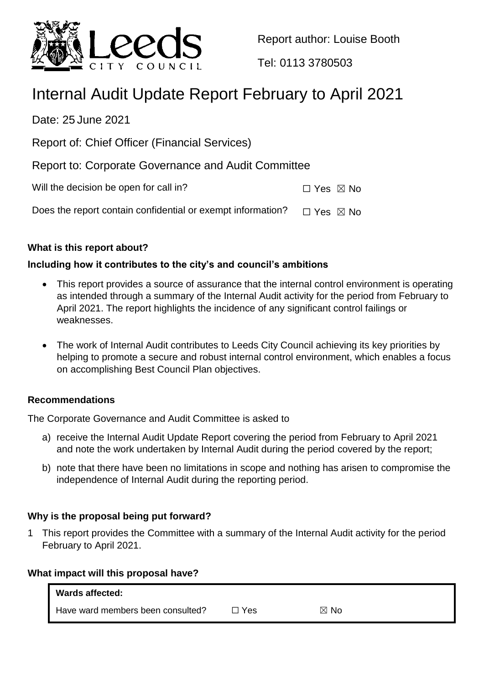

Report author: Louise Booth

Tel: 0113 3780503

# Internal Audit Update Report February to April 2021

Date: 25 June 2021

Report of: Chief Officer (Financial Services)

Report to: Corporate Governance and Audit Committee

Will the decision be open for call in?  $\Box$  Yes  $\boxtimes$  No

Does the report contain confidential or exempt information?  $\Box$  Yes  $\boxtimes$  No

# **What is this report about?**

# **Including how it contributes to the city's and council's ambitions**

- This report provides a source of assurance that the internal control environment is operating as intended through a summary of the Internal Audit activity for the period from February to April 2021. The report highlights the incidence of any significant control failings or weaknesses.
- The work of Internal Audit contributes to Leeds City Council achieving its key priorities by helping to promote a secure and robust internal control environment, which enables a focus on accomplishing Best Council Plan objectives.

# **Recommendations**

The Corporate Governance and Audit Committee is asked to

- a) receive the Internal Audit Update Report covering the period from February to April 2021 and note the work undertaken by Internal Audit during the period covered by the report;
- b) note that there have been no limitations in scope and nothing has arisen to compromise the independence of Internal Audit during the reporting period.

# **Why is the proposal being put forward?**

1 This report provides the Committee with a summary of the Internal Audit activity for the period February to April 2021.

#### **What impact will this proposal have?**

| Wards affected:                   |       |                |
|-----------------------------------|-------|----------------|
| Have ward members been consulted? | ⊐ Yes | $\boxtimes$ No |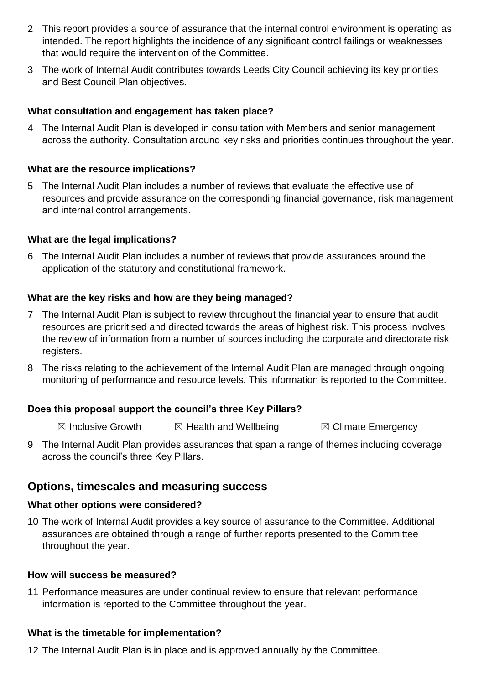- 2 This report provides a source of assurance that the internal control environment is operating as intended. The report highlights the incidence of any significant control failings or weaknesses that would require the intervention of the Committee.
- 3 The work of Internal Audit contributes towards Leeds City Council achieving its key priorities and Best Council Plan objectives.

#### **What consultation and engagement has taken place?**

4 The Internal Audit Plan is developed in consultation with Members and senior management across the authority. Consultation around key risks and priorities continues throughout the year.

#### **What are the resource implications?**

5 The Internal Audit Plan includes a number of reviews that evaluate the effective use of resources and provide assurance on the corresponding financial governance, risk management and internal control arrangements.

#### **What are the legal implications?**

6 The Internal Audit Plan includes a number of reviews that provide assurances around the application of the statutory and constitutional framework.

#### **What are the key risks and how are they being managed?**

- 7 The Internal Audit Plan is subject to review throughout the financial year to ensure that audit resources are prioritised and directed towards the areas of highest risk. This process involves the review of information from a number of sources including the corporate and directorate risk registers.
- 8 The risks relating to the achievement of the Internal Audit Plan are managed through ongoing monitoring of performance and resource levels. This information is reported to the Committee.

#### **Does this proposal support the council's three Key Pillars?**

 $\boxtimes$  Inclusive Growth  $\boxtimes$  Health and Wellbeing  $\boxtimes$  Climate Emergency

9 The Internal Audit Plan provides assurances that span a range of themes including coverage across the council's three Key Pillars.

# **Options, timescales and measuring success**

#### **What other options were considered?**

10 The work of Internal Audit provides a key source of assurance to the Committee. Additional assurances are obtained through a range of further reports presented to the Committee throughout the year.

#### **How will success be measured?**

11 Performance measures are under continual review to ensure that relevant performance information is reported to the Committee throughout the year.

# **What is the timetable for implementation?**

12 The Internal Audit Plan is in place and is approved annually by the Committee.